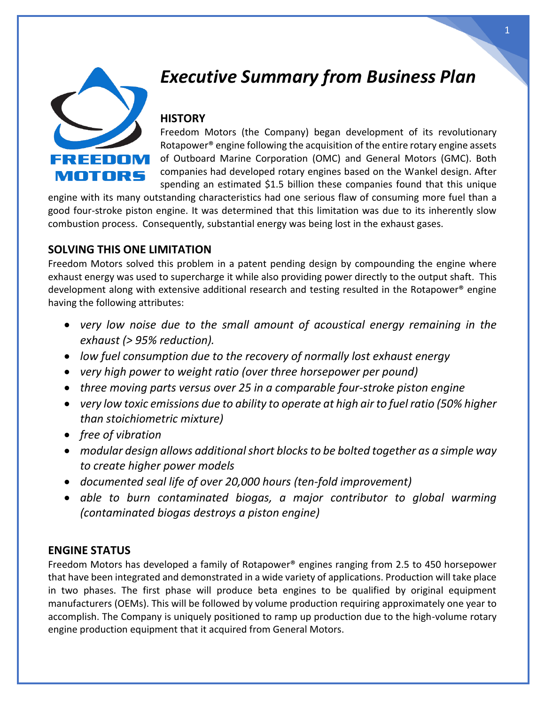

# *Executive Summary from Business Plan*

# **HISTORY**

Freedom Motors (the Company) began development of its revolutionary Rotapower® engine following the acquisition of the entire rotary engine assets of Outboard Marine Corporation (OMC) and General Motors (GMC). Both companies had developed rotary engines based on the Wankel design. After spending an estimated \$1.5 billion these companies found that this unique

engine with its many outstanding characteristics had one serious flaw of consuming more fuel than a good four-stroke piston engine. It was determined that this limitation was due to its inherently slow combustion process. Consequently, substantial energy was being lost in the exhaust gases.

## **SOLVING THIS ONE LIMITATION**

Freedom Motors solved this problem in a patent pending design by compounding the engine where exhaust energy was used to supercharge it while also providing power directly to the output shaft. This development along with extensive additional research and testing resulted in the Rotapower® engine having the following attributes:

- *very low noise due to the small amount of acoustical energy remaining in the exhaust (> 95% reduction).*
- *low fuel consumption due to the recovery of normally lost exhaust energy*
- *very high power to weight ratio (over three horsepower per pound)*
- *three moving parts versus over 25 in a comparable four-stroke piston engine*
- *very low toxic emissions due to ability to operate at high air to fuel ratio (50% higher than stoichiometric mixture)*
- *free of vibration*
- *modular design allows additional short blocks to be bolted together as a simple way to create higher power models*
- *documented seal life of over 20,000 hours (ten-fold improvement)*
- *able to burn contaminated biogas, a major contributor to global warming (contaminated biogas destroys a piston engine)*

## **ENGINE STATUS**

Freedom Motors has developed a family of Rotapower® engines ranging from 2.5 to 450 horsepower that have been integrated and demonstrated in a wide variety of applications. Production will take place in two phases. The first phase will produce beta engines to be qualified by original equipment manufacturers (OEMs). This will be followed by volume production requiring approximately one year to accomplish. The Company is uniquely positioned to ramp up production due to the high-volume rotary engine production equipment that it acquired from General Motors.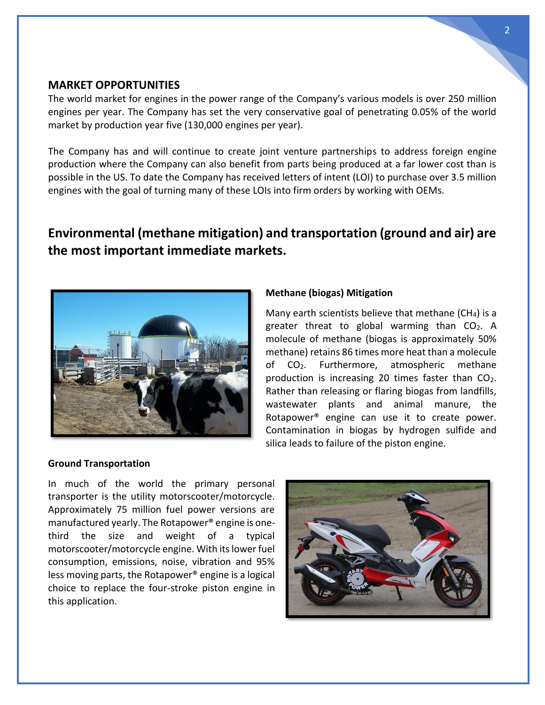#### **MARKET OPPORTUNITIES**

The world market for engines in the power range of the Company's various models is over 250 million engines per year. The Company has set the very conservative goal of penetrating 0.05% of the world market by production year five (130,000 engines per year).

The Company has and will continue to create joint venture partnerships to address foreign engine production where the Company can also benefit from parts being produced at a far lower cost than is possible in the US. To date the Company has received letters of intent (LOI) to purchase over 3.5 million engines with the goal of turning many of these LOIs into firm orders by working with OEMs.

# **Environmental (methane mitigation) and transportation (ground and air) are the most important immediate markets.**



#### **Methane (biogas) Mitigation**

Many earth scientists believe that methane (CH4) is a greater threat to global warming than  $CO<sub>2</sub>$ . A molecule of methane (biogas is approximately 50% methane) retains 86 times more heat than a molecule of CO2. Furthermore, atmospheric methane production is increasing 20 times faster than  $CO<sub>2</sub>$ . Rather than releasing or flaring biogas from landfills, wastewater plants and animal manure, the Rotapower® engine can use it to create power. Contamination in biogas by hydrogen sulfide and silica leads to failure of the piston engine.

#### **Ground Transportation**

In much of the world the primary personal transporter is the utility motorscooter/motorcycle. Approximately 75 million fuel power versions are manufactured yearly. The Rotapower® engine is onethird the size and weight of a typical motorscooter/motorcycle engine. With its lower fuel consumption, emissions, noise, vibration and 95% less moving parts, the Rotapower® engine is a logical choice to replace the four-stroke piston engine in this application.

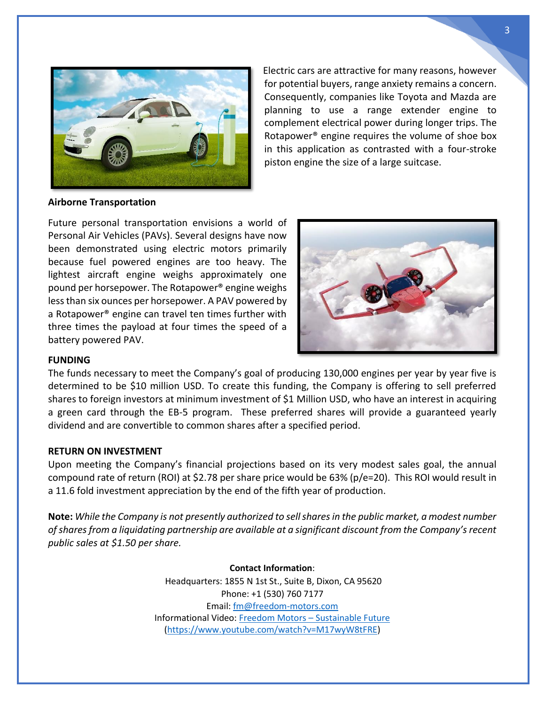

Electric cars are attractive for many reasons, however for potential buyers, range anxiety remains a concern. Consequently, companies like Toyota and Mazda are planning to use a range extender engine to complement electrical power during longer trips. The Rotapower® engine requires the volume of shoe box in this application as contrasted with a four-stroke piston engine the size of a large suitcase.

#### **Airborne Transportation**

Future personal transportation envisions a world of Personal Air Vehicles (PAVs). Several designs have now been demonstrated using electric motors primarily because fuel powered engines are too heavy. The lightest aircraft engine weighs approximately one pound per horsepower. The Rotapower® engine weighs less than six ounces per horsepower. A PAV powered by a Rotapower® engine can travel ten times further with three times the payload at four times the speed of a battery powered PAV.



#### **FUNDING**

The funds necessary to meet the Company's goal of producing 130,000 engines per year by year five is determined to be \$10 million USD. To create this funding, the Company is offering to sell preferred shares to foreign investors at minimum investment of \$1 Million USD, who have an interest in acquiring a green card through the EB-5 program. These preferred shares will provide a guaranteed yearly dividend and are convertible to common shares after a specified period.

#### **RETURN ON INVESTMENT**

Upon meeting the Company's financial projections based on its very modest sales goal, the annual compound rate of return (ROI) at \$2.78 per share price would be 63% (p/e=20). This ROI would result in a 11.6 fold investment appreciation by the end of the fifth year of production.

**Note:** *While the Company is not presently authorized to sell shares in the public market, a modest number of shares from a liquidating partnership are available at a significant discount from the Company's recent public sales at \$1.50 per share.*

> **Contact Information**: Headquarters: 1855 N 1st St., Suite B, Dixon, CA 95620 Phone: +1 (530) 760 7177 Email: [fm@freedom-motors.com](mailto:fm@freedom-motors.com) Informational Video: Freedom Motors – [Sustainable Future](https://www.youtube.com/watch?v=M17wyW8tFRE) [\(https://www.youtube.com/watch?v=M17wyW8tFRE\)](https://www.youtube.com/watch?v=M17wyW8tFRE)